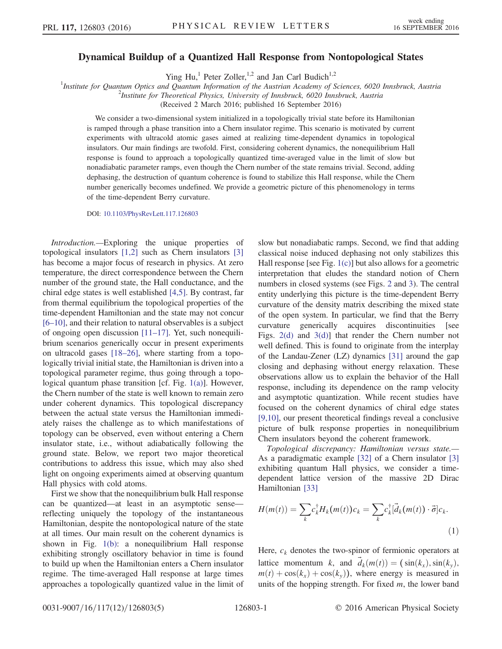## Dynamical Buildup of a Quantized Hall Response from Nontopological States

Ying Hu,<sup>1</sup> Peter Zoller,<sup>1,2</sup> and Jan Carl Budich<sup>1,2</sup>

<sup>1</sup>Institute for Quantum Optics and Quantum Information of the Austrian Academy of Sciences, 6020 Innsbruck, Austria  $\frac{2I_{\text{L}}}{r}$ 

 $^2$ Institute for Theoretical Physics, University of Innsbruck, 6020 Innsbruck, Austria

(Received 2 March 2016; published 16 September 2016)

We consider a two-dimensional system initialized in a topologically trivial state before its Hamiltonian is ramped through a phase transition into a Chern insulator regime. This scenario is motivated by current experiments with ultracold atomic gases aimed at realizing time-dependent dynamics in topological insulators. Our main findings are twofold. First, considering coherent dynamics, the nonequilibrium Hall response is found to approach a topologically quantized time-averaged value in the limit of slow but nonadiabatic parameter ramps, even though the Chern number of the state remains trivial. Second, adding dephasing, the destruction of quantum coherence is found to stabilize this Hall response, while the Chern number generically becomes undefined. We provide a geometric picture of this phenomenology in terms of the time-dependent Berry curvature.

DOI: [10.1103/PhysRevLett.117.126803](http://dx.doi.org/10.1103/PhysRevLett.117.126803)

Introduction.—Exploring the unique properties of topological insulators [\[1,2\]](#page-4-0) such as Chern insulators [\[3\]](#page-4-1) has become a major focus of research in physics. At zero temperature, the direct correspondence between the Chern number of the ground state, the Hall conductance, and the chiral edge states is well established [\[4,5\].](#page-4-2) By contrast, far from thermal equilibrium the topological properties of the time-dependent Hamiltonian and the state may not concur [6–[10\],](#page-4-3) and their relation to natural observables is a subject of ongoing open discussion [11–[17\].](#page-4-4) Yet, such nonequilibrium scenarios generically occur in present experiments on ultracold gases [\[18](#page-4-5)–26], where starting from a topologically trivial initial state, the Hamiltonian is driven into a topological parameter regime, thus going through a topological quantum phase transition [cf. Fig. [1\(a\)\]](#page-1-0). However, the Chern number of the state is well known to remain zero under coherent dynamics. This topological discrepancy between the actual state versus the Hamiltonian immediately raises the challenge as to which manifestations of topology can be observed, even without entering a Chern insulator state, i.e., without adiabatically following the ground state. Below, we report two major theoretical contributions to address this issue, which may also shed light on ongoing experiments aimed at observing quantum Hall physics with cold atoms.

First we show that the nonequilibrium bulk Hall response can be quantized—at least in an asymptotic sense reflecting uniquely the topology of the instantaneous Hamiltonian, despite the nontopological nature of the state at all times. Our main result on the coherent dynamics is shown in Fig. [1\(b\):](#page-1-0) a nonequilibrium Hall response exhibiting strongly oscillatory behavior in time is found to build up when the Hamiltonian enters a Chern insulator regime. The time-averaged Hall response at large times approaches a topologically quantized value in the limit of slow but nonadiabatic ramps. Second, we find that adding classical noise induced dephasing not only stabilizes this Hall response [see Fig. [1\(c\)](#page-1-0)] but also allows for a geometric interpretation that eludes the standard notion of Chern numbers in closed systems (see Figs. [2](#page-1-1) and [3](#page-2-0)). The central entity underlying this picture is the time-dependent Berry curvature of the density matrix describing the mixed state of the open system. In particular, we find that the Berry curvature generically acquires discontinuities [see Figs. [2\(d\)](#page-1-1) and [3\(d\)\]](#page-2-0) that render the Chern number not well defined. This is found to originate from the interplay of the Landau-Zener (LZ) dynamics [\[31\]](#page-4-6) around the gap closing and dephasing without energy relaxation. These observations allow us to explain the behavior of the Hall response, including its dependence on the ramp velocity and asymptotic quantization. While recent studies have focused on the coherent dynamics of chiral edge states [\[9,10\]](#page-4-7), our present theoretical findings reveal a conclusive picture of bulk response properties in nonequilibrium Chern insulators beyond the coherent framework.

<span id="page-0-0"></span>Topological discrepancy: Hamiltonian versus state.— As a paradigmatic example [\[32\]](#page-4-8) of a Chern insulator [\[3\]](#page-4-1) exhibiting quantum Hall physics, we consider a timedependent lattice version of the massive 2D Dirac Hamiltonian [\[33\]](#page-4-9)

$$
H(m(t)) = \sum_{k} c_{k}^{\dagger} H_{k}(m(t)) c_{k} = \sum_{k} c_{k}^{\dagger} [\vec{d}_{k}(m(t)) \cdot \vec{\sigma}] c_{k}.
$$
\n(1)

Here,  $c_k$  denotes the two-spinor of fermionic operators at lattice momentum k, and  $\vec{d}_k(m(t)) = (\sin(k_x), \sin(k_y))$ ,  $m(t) + \cos(k_x) + \cos(k_y)$ , where energy is measured in units of the hopping strength. For fixed  $m$ , the lower band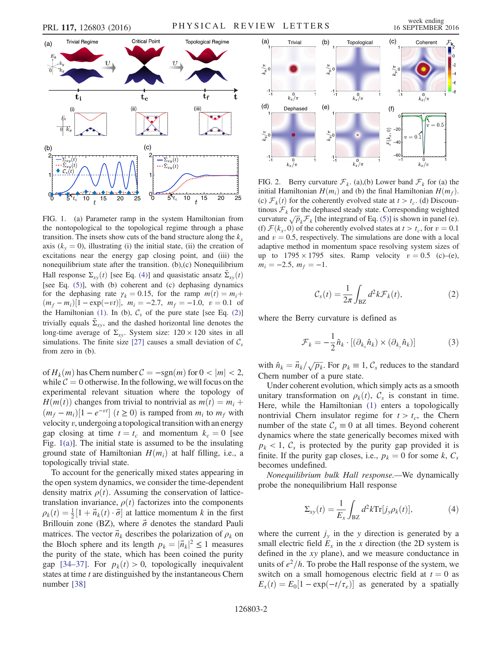<span id="page-1-0"></span>

FIG. 1. (a) Parameter ramp in the system Hamiltonian from the nontopological to the topological regime through a phase transition. The insets show cuts of the band structure along the  $k_x$ axis  $(k_y = 0)$ , illustrating (i) the initial state, (ii) the creation of excitations near the energy gap closing point, and (iii) the nonequilibrium state after the transition. (b),(c) Nonequilibrium Hall response  $\Sigma_{xy}(t)$  [see Eq. [\(4\)](#page-1-2)] and quasistatic ansatz  $\Sigma_{xy}(t)$ [see Eq. [\(5\)](#page-2-1)], with (b) coherent and (c) dephasing dynamics for the dephasing rate  $\gamma_k = 0.15$ , for the ramp  $m(t) = m_i +$  $(m_f - m_i)[1 - \exp(-vt)], \ m_i = -2.7, \ m_f = -1.0, \ v = 0.1$  of the Hamiltonian [\(1\).](#page-0-0) In (b),  $C_s$  of the pure state [see Eq. [\(2\)\]](#page-1-3) trivially equals  $\Sigma_{xy}$ , and the dashed horizontal line denotes the long-time average of  $\Sigma_{xy}$ . System size:  $120 \times 120$  sites in all simulations. The finite size [\[27\]](#page-4-12) causes a small deviation of  $C_s$ from zero in (b).

of  $H_k(m)$  has Chern number  $C = -\text{sgn}(m)$  for  $0 < |m| < 2$ , while  $C = 0$  otherwise. In the following, we will focus on the experimental relevant situation where the topology of  $H(m(t))$  changes from trivial to nontrivial as  $m(t) = m_i +$  $(m_f - m_i)[1 - e^{-vt}]$   $(t \ge 0)$  is ramped from  $m_i$  to  $m_f$  with velocity  $v$ , undergoing a topological transition with an energy gap closing at time  $t = t_c$  and momentum  $k_c = 0$  [see Fig.  $1(a)$ ]. The initial state is assumed to be the insulating ground state of Hamiltonian  $H(m_i)$  at half filling, i.e., a topologically trivial state.

<span id="page-1-3"></span>To account for the generically mixed states appearing in the open system dynamics, we consider the time-dependent density matrix  $\rho(t)$ . Assuming the conservation of latticetranslation invariance,  $\rho(t)$  factorizes into the components  $\rho_k(t) = \frac{1}{2} [1 + \vec{n}_k(t) \cdot \vec{\sigma}]$  at lattice momentum k in the first Brillouin zone (BZ), where  $\vec{\sigma}$  denotes the standard Pauli matrices. The vector  $\vec{n}_k$  describes the polarization of  $\rho_k$  on the Bloch sphere and its length  $p_k = |\vec{n}_k|^2 \le 1$  measures the purity of the state, which has been coined the purity gap [\[34](#page-4-10)–37]. For  $p_k(t) > 0$ , topologically inequivalent states at time t are distinguished by the instantaneous Chern number [\[38\]](#page-4-11)



<span id="page-1-1"></span>

FIG. 2. Berry curvature  $\mathcal{F}_k$ . (a),(b) Lower band  $\mathcal{F}_k$  for (a) the initial Hamiltonian  $H(m_i)$  and (b) the final Hamiltonian  $H(m_f)$ . (c)  $\mathcal{F}_k(t)$  for the coherently evolved state at  $t > t_c$ . (d) Discountinous  $\mathcal{F}_k$  for the dephased steady state. Corresponding weighted curvature  $\sqrt{p}_k \mathcal{F}_k$  [the integrand of Eq. [\(5\)\]](#page-2-1) is shown in panel (e). (f)  $\mathcal{F}(k_x, 0)$  of the coherently evolved states at  $t > t_c$ , for  $v = 0.1$ and  $v = 0.5$ , respectively. The simulations are done with a local adaptive method in momentum space resolving system sizes of up to  $1795 \times 1795$  sites. Ramp velocity  $v = 0.5$  (c)–(e),  $m_i = -2.5, m_f = -1.$ 

$$
\mathcal{C}_s(t) = \frac{1}{2\pi} \int_{\text{BZ}} d^2k \mathcal{F}_k(t),\tag{2}
$$

<span id="page-1-4"></span>where the Berry curvature is defined as

$$
\mathcal{F}_k = -\frac{1}{2}\hat{n}_k \cdot [(\partial_{k_x}\hat{n}_k) \times (\partial_{k_y}\hat{n}_k)] \tag{3}
$$

with  $\hat{n}_k = \vec{n}_k / \sqrt{p_k}$ . For  $p_k \equiv 1, \mathcal{C}_s$  reduces to the standard Chern number of a pure state.

Under coherent evolution, which simply acts as a smooth unitary transformation on  $\rho_k(t)$ ,  $\mathcal{C}_s$  is constant in time. Here, while the Hamiltonian [\(1\)](#page-0-0) enters a topologically nontrivial Chern insulator regime for  $t > t_c$ , the Chern number of the state  $C_s \equiv 0$  at all times. Beyond coherent dynamics where the state generically becomes mixed with  $p_k$  < 1,  $\mathcal{C}_s$  is protected by the purity gap provided it is finite. If the purity gap closes, i.e.,  $p_k = 0$  for some k,  $C_s$ becomes undefined.

<span id="page-1-2"></span>Nonequilibrium bulk Hall response.—We dynamically probe the nonequilibrium Hall response

$$
\Sigma_{xy}(t) = \frac{1}{E_x} \int_{\text{BZ}} d^2 k \text{Tr}[j_y \rho_k(t)], \tag{4}
$$

where the current  $j<sub>y</sub>$  in the y direction is generated by a small electric field  $E_x$  in the x direction (the 2D system is defined in the xy plane), and we measure conductance in units of  $e^2/h$ . To probe the Hall response of the system, we switch on a small homogenous electric field at  $t = 0$  as  $E_x(t) = E_0[1 - \exp(-t/\tau_e)]$  as generated by a spatially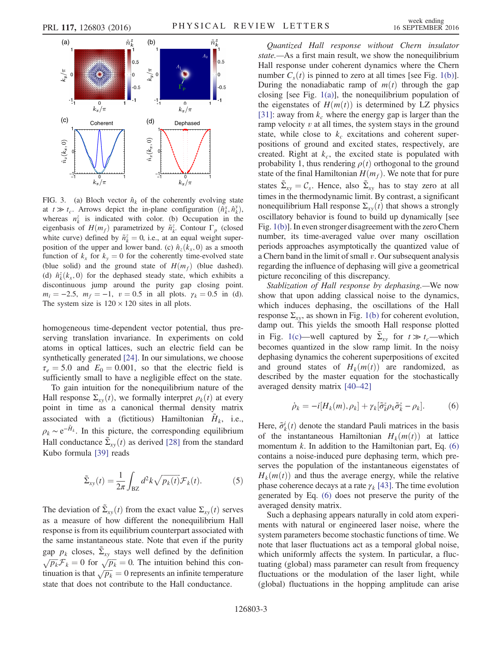<span id="page-2-0"></span>

FIG. 3. (a) Bloch vector  $\hat{n}_k$  of the coherently evolving state at  $t \gg t_c$ . Arrows depict the in-plane configuration  $(\hat{n}_k^x, \hat{n}_k^y)$ , whereas  $n_k^z$  is indicated with color. (b) Occupation in the eigenbasis of  $H(m_f)$  parametrized by  $\tilde{n}_{k}^z$ . Contour  $\Gamma_p$  (closed white curve) defined by  $\tilde{n}_{k}^{z} = 0$ , i.e., at an equal weight superposition of the upper and lower band. (c)  $\hat{n}_z(k_x, 0)$  as a smooth function of  $k_x$  for  $k_y = 0$  for the coherently time-evolved state (blue solid) and the ground state of  $H(m_f)$  (blue dashed). (d)  $\hat{n}_{k}^{z}(k_{x}, 0)$  for the dephased steady state, which exhibits a discontinuous jump around the purity gap closing point.  $m_i = -2.5$ ,  $m_f = -1$ ,  $v = 0.5$  in all plots.  $\gamma_k = 0.5$  in (d). The system size is  $120 \times 120$  sites in all plots.

homogeneous time-dependent vector potential, thus preserving translation invariance. In experiments on cold atoms in optical lattices, such an electric field can be synthetically generated [\[24\].](#page-4-13) In our simulations, we choose  $\tau_e = 5.0$  and  $E_0 = 0.001$ , so that the electric field is sufficiently small to have a negligible effect on the state.

To gain intuition for the nonequilibrium nature of the Hall response  $\Sigma_{xy}(t)$ , we formally interpret  $\rho_k(t)$  at every point in time as a canonical thermal density matrix associated with a (fictitious) Hamiltonian  $H_k$ , i.e.,  $\rho_k \sim e^{-H_k}$ . In this picture, the corresponding equilibrium Hall conductance  $\tilde{\Sigma}_{xy}(t)$  as derived [\[28\]](#page-4-14) from the standard Kubo formula [\[39\]](#page-4-15) reads

<span id="page-2-1"></span>
$$
\tilde{\Sigma}_{xy}(t) = \frac{1}{2\pi} \int_{\text{BZ}} d^2k \sqrt{p_k(t)} \mathcal{F}_k(t).
$$
 (5)

The deviation of  $\tilde{\Sigma}_{xy}(t)$  from the exact value  $\Sigma_{xy}(t)$  serves as a measure of how different the nonequilibrium Hall response is from its equilibrium counterpart associated with the same instantaneous state. Note that even if the purity gap  $p_k$  closes,  $\Sigma_{xy}$  stays well defined by the definition  $\sqrt{p_k} \mathcal{F}_k = 0$  for  $\sqrt{p_k} = 0$ . The intuition behind this continuation is that  $\sqrt{p_k} = 0$  represents an infinite temperature state that does not contribute to the Hall conductance.

Quantized Hall response without Chern insulator state.—As a first main result, we show the nonequilibrium Hall response under coherent dynamics where the Chern number  $C_s(t)$  is pinned to zero at all times [see Fig. [1\(b\)](#page-1-0)]. During the nonadiabatic ramp of  $m(t)$  through the gap closing [see Fig. [1\(a\)](#page-1-0)], the nonequilibrium population of the eigenstates of  $H(m(t))$  is determined by LZ physics [\[31\]](#page-4-6): away from  $k_c$  where the energy gap is larger than the ramp velocity  $v$  at all times, the system stays in the ground state, while close to  $k_c$  excitations and coherent superpositions of ground and excited states, respectively, are created. Right at  $k_c$ , the excited state is populated with probability 1, thus rendering  $\rho(t)$  orthogonal to the ground state of the final Hamiltonian  $H(m_f)$ . We note that for pure states  $\tilde{\Sigma}_{xy} = C_s$ . Hence, also  $\tilde{\Sigma}_{xy}$  has to stay zero at all times in the thermodynamic limit. By contrast, a significant nonequilibrium Hall response  $\Sigma_{xy}(t)$  that shows a strongly oscillatory behavior is found to build up dynamically [see Fig. [1\(b\)](#page-1-0)]. In even stronger disagreement with the zero Chern number, its time-averaged value over many oscillation periods approaches asymptotically the quantized value of a Chern band in the limit of small  $v$ . Our subsequent analysis regarding the influence of dephasing will give a geometrical picture reconciling of this discrepancy.

Stablization of Hall response by dephasing.—We now show that upon adding classical noise to the dynamics, which induces dephasing, the oscillations of the Hall response  $\Sigma_{xy}$ , as shown in Fig. [1\(b\)](#page-1-0) for coherent evolution, damp out. This yields the smooth Hall response plotted in Fig. [1\(c\)](#page-1-0)—well captured by  $\Sigma_{xy}$  for  $t \gg t_c$ —which becomes quantized in the slow ramp limit. In the noisy dephasing dynamics the coherent superpositions of excited and ground states of  $H_k(m(t))$  are randomized, as described by the master equation for the stochastically averaged density matrix [\[40](#page-4-16)–42]

<span id="page-2-2"></span>
$$
\dot{\rho}_k = -i[H_k(m), \rho_k] + \gamma_k[\tilde{\sigma}_k^z \rho_k \tilde{\sigma}_k^z - \rho_k]. \tag{6}
$$

Here,  $\tilde{\sigma}_k^i(t)$  denote the standard Pauli matrices in the basis of the instantaneous Hamiltonian  $H_k(m(t))$  at lattice momentum  $k$ . In addition to the Hamiltonian part, Eq.  $(6)$ contains a noise-induced pure dephasing term, which preserves the population of the instantaneous eigenstates of  $H_k(m(t))$  and thus the average energy, while the relative phase coherence decays at a rate  $\gamma_k$  [\[43\].](#page-4-17) The time evolution generated by Eq. [\(6\)](#page-2-2) does not preserve the purity of the averaged density matrix.

Such a dephasing appears naturally in cold atom experiments with natural or engineered laser noise, where the system parameters become stochastic functions of time. We note that laser fluctuations act as a temporal global noise, which uniformly affects the system. In particular, a fluctuating (global) mass parameter can result from frequency fluctuations or the modulation of the laser light, while (global) fluctuations in the hopping amplitude can arise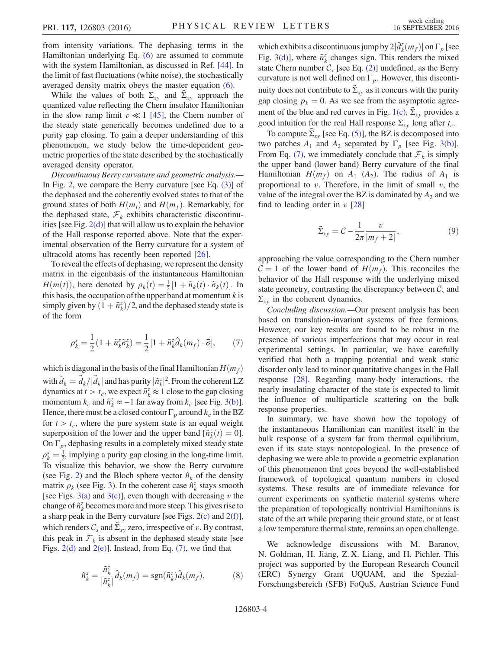from intensity variations. The dephasing terms in the Hamiltonian underlying Eq. [\(6\)](#page-2-2) are assumed to commute with the system Hamiltonian, as discussed in Ref. [\[44\].](#page-4-18) In the limit of fast fluctuations (white noise), the stochastically averaged density matrix obeys the master equation [\(6\)](#page-2-2).

While the values of both  $\Sigma_{xy}$  and  $\tilde{\Sigma}_{xy}$  approach the quantized value reflecting the Chern insulator Hamiltonian in the slow ramp limit  $v \ll 1$  [\[45\]](#page-4-19), the Chern number of the steady state generically becomes undefined due to a purity gap closing. To gain a deeper understanding of this phenomenon, we study below the time-dependent geometric properties of the state described by the stochastically averaged density operator.

Discontinuous Berry curvature and geometric analysis.— In Fig. [2,](#page-1-1) we compare the Berry curvature [see Eq. [\(3\)\]](#page-1-4) of the dephased and the coherently evolved states to that of the ground states of both  $H(m_i)$  and  $H(m_f)$ . Remarkably, for the dephased state,  $\mathcal{F}_k$  exhibits characteristic discontinuities [see Fig. [2\(d\)\]](#page-1-1) that will allow us to explain the behavior of the Hall response reported above. Note that the experimental observation of the Berry curvature for a system of ultracold atoms has recently been reported [\[26\]](#page-4-20).

To reveal the effects of dephasing, we represent the density matrix in the eigenbasis of the instantaneous Hamiltonian  $H(m(t))$ , here denoted by  $\rho_k(t) = \frac{1}{2} [1 + \tilde{n}_k(t) \cdot \tilde{\sigma}_k(t)]$ . In this basis, the occupation of the upper band at momentum  $k$  is simply given by  $(1 + \tilde{n}_k^z)/2$ , and the dephased steady state is of the form

<span id="page-3-0"></span>
$$
\rho_k^s = \frac{1}{2} \left( 1 + \tilde{n}_k^z \tilde{\sigma}_k^z \right) = \frac{1}{2} \left[ 1 + \tilde{n}_k^z \hat{d}_k(m_f) \cdot \vec{\sigma} \right],\tag{7}
$$

which is diagonal in the basis of the final Hamiltonian  $H(m_f)$ with  $\hat{d}_k = \vec{d}_k / |\vec{d}_k|$  and has purity  $|\tilde{n}_k^z|^2$ . From the coherent LZ dynamics at  $t > t_c$ , we expect  $\tilde{n}_k^z \approx 1$  close to the gap closing momentum  $k_c$  and  $\tilde{n}_k^z \approx -1$  far away from  $k_c$  [see Fig. [3\(b\)](#page-2-0)]. Hence, there must be a closed contour  $\Gamma_p$  around  $k_c$  in the BZ for  $t > t_c$ , where the pure system state is an equal weight superposition of the lower and the upper band  $[\tilde{n}_{k}^{z}(t) = 0]$ . On  $\Gamma_p$ , dephasing results in a completely mixed steady state  $\rho_k^s = \frac{1}{2}$ , implying a purity gap closing in the long-time limit. To visualize this behavior, we show the Berry curvature (see Fig. [2](#page-1-1)) and the Bloch sphere vector  $\hat{n}_k$  of the density matrix  $\rho_k$  (see Fig. [3](#page-2-0)). In the coherent case  $\hat{n}_{\vec{k}}^z$  stays smooth [see Figs. [3\(a\)](#page-2-0) and [3\(c\)](#page-2-0)], even though with decreasing  $v$  the change of  $\hat{n}_{k}^{z}$  becomes more and more steep. This gives rise to a sharp peak in the Berry curvature [see Figs. [2\(c\)](#page-1-1) and [2\(f\)](#page-1-1)], which renders  $C_s$  and  $\tilde{\Sigma}_{xy}$  zero, irrespective of v. By contrast, this peak in  $\mathcal{F}_k$  is absent in the dephased steady state [see Figs.  $2(d)$  and  $2(e)$ ]. Instead, from Eq.  $(7)$ , we find that

$$
\hat{n}_{k}^{s} = \frac{\tilde{n}_{k}^{z}}{|\tilde{n}_{k}^{z}|}\hat{d}_{k}(m_{f}) = \text{sgn}(\tilde{n}_{k}^{z})\hat{d}_{k}(m_{f}),\tag{8}
$$

which exhibits a discontinuous jump by  $2|\hat{d}_k^z(m_f)|$  on  $\Gamma_p$  [see Fig. [3\(d\)\]](#page-2-0), where  $\tilde{n}_k^z$  changes sign. This renders the mixed state Chern number  $C_s$  [see Eq. [\(2\)](#page-1-3)] undefined, as the Berry curvature is not well defined on  $\Gamma_p$ . However, this discontinuity does not contribute to  $\Sigma_{xy}$  as it concurs with the purity gap closing  $p_k = 0$ . As we see from the asymptotic agree-ment of the blue and red curves in Fig. [1\(c\),](#page-1-0)  $\tilde{\Sigma}_{xy}$  provides a good intuition for the real Hall response  $\Sigma_{xy}$  long after  $t_c$ .

To compute  $\Sigma_{xy}$  [see Eq. [\(5\)](#page-2-1)], the BZ is decomposed into two patches  $A_1$  and  $A_2$  separated by  $\Gamma_p$  [see Fig. [3\(b\)](#page-2-0)]. From Eq. [\(7\)](#page-3-0), we immediately conclude that  $\mathcal{F}_k$  is simply the upper band (lower band) Berry curvature of the final Hamiltonian  $H(m_f)$  on  $A_1$  (A<sub>2</sub>). The radius of  $A_1$  is proportional to  $v$ . Therefore, in the limit of small  $v$ , the value of the integral over the BZ is dominated by  $A_2$  and we find to leading order in  $v$  [\[28\]](#page-4-14)

$$
\tilde{\Sigma}_{xy} = C - \frac{1}{2\pi} \frac{v}{|m_f + 2|},\tag{9}
$$

approaching the value corresponding to the Chern number  $C = 1$  of the lower band of  $H(m_f)$ . This reconciles the behavior of the Hall response with the underlying mixed state geometry, contrasting the discrepancy between  $C_s$  and  $\Sigma_{xy}$  in the coherent dynamics.

Concluding discussion.—Our present analysis has been based on translation-invariant systems of free fermions. However, our key results are found to be robust in the presence of various imperfections that may occur in real experimental settings. In particular, we have carefully verified that both a trapping potential and weak static disorder only lead to minor quantitative changes in the Hall response [\[28\].](#page-4-14) Regarding many-body interactions, the nearly insulating character of the state is expected to limit the influence of multiparticle scattering on the bulk response properties.

In summary, we have shown how the topology of the instantaneous Hamiltonian can manifest itself in the bulk response of a system far from thermal equilibrium, even if its state stays nontopological. In the presence of dephasing we were able to provide a geometric explanation of this phenomenon that goes beyond the well-established framework of topological quantum numbers in closed systems. These results are of immediate relevance for current experiments on synthetic material systems where the preparation of topologically nontrivial Hamiltonians is state of the art while preparing their ground state, or at least a low temperature thermal state, remains an open challenge.

We acknowledge discussions with M. Baranov, N. Goldman, H. Jiang, Z. X. Liang, and H. Pichler. This project was supported by the European Research Council (ERC) Synergy Grant UQUAM, and the Spezial-Forschungsbereich (SFB) FoQuS, Austrian Science Fund